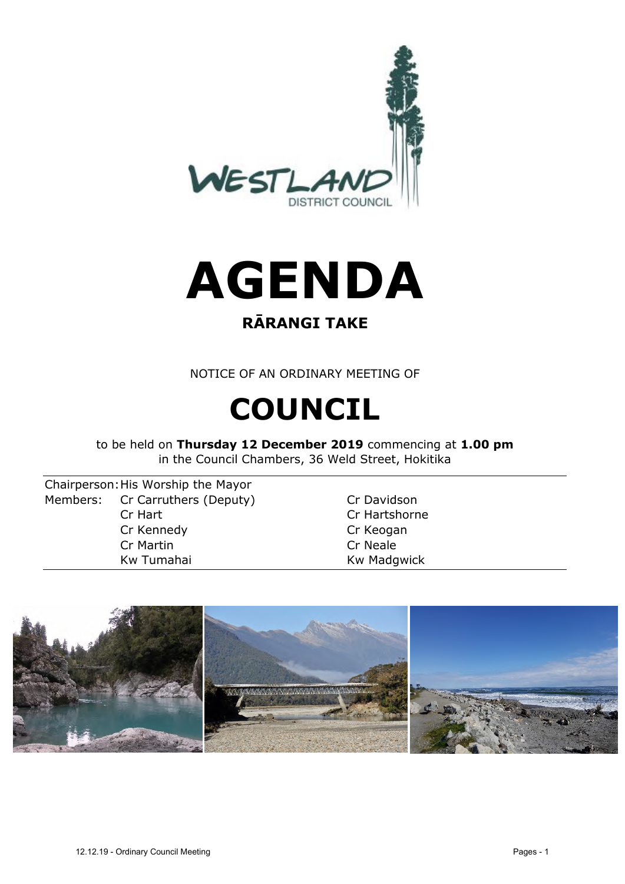



# **RĀRANGI TAKE**

NOTICE OF AN ORDINARY MEETING OF

# **COUNCIL**

to be held on **Thursday 12 December 2019** commencing at **1.00 pm** in the Council Chambers, 36 Weld Street, Hokitika

Chairperson:His Worship the Mayor Members: Cr Carruthers (Deputy) Cr Davidson Cr Hart Cr Hartshorne Cr Kennedy Cr Keogan Cr Martin Cr Neale Kw Tumahai **Kw Madgwick** 

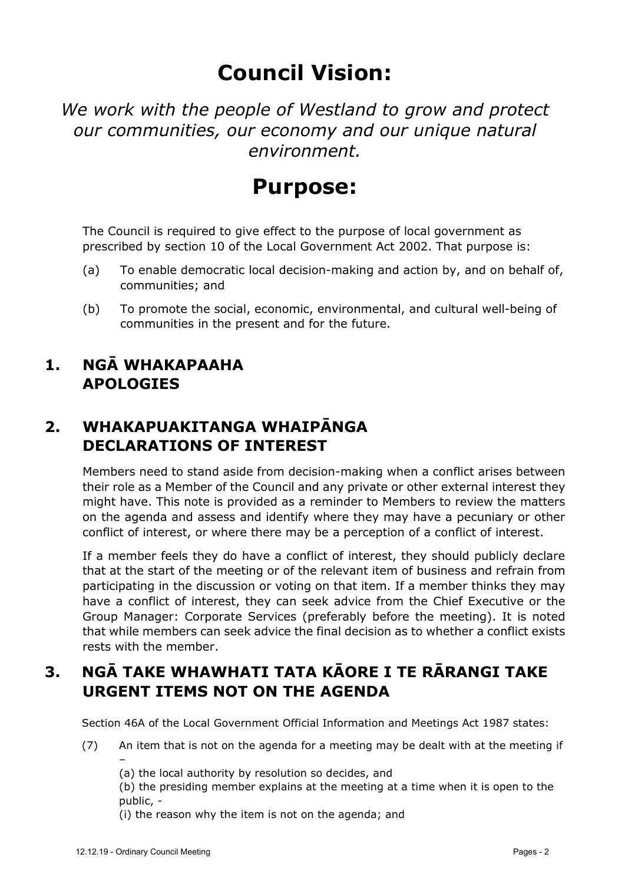# **Council Vision:**

*We work with the people of Westland to grow and protect our communities, our economy and our unique natural environment.*

# **Purpose:**

The Council is required to give effect to the purpose of local government as prescribed by section 10 of the Local Government Act 2002. That purpose is:

- (a) To enable democratic local decision-making and action by, and on behalf of, communities; and
- (b) To promote the social, economic, environmental, and cultural well-being of communities in the present and for the future.
- **1. NGĀ WHAKAPAAHA APOLOGIES**

## **2. WHAKAPUAKITANGA WHAIPĀNGA DECLARATIONS OF INTEREST**

Members need to stand aside from decision-making when a conflict arises between their role as a Member of the Council and any private or other external interest they might have. This note is provided as a reminder to Members to review the matters on the agenda and assess and identify where they may have a pecuniary or other conflict of interest, or where there may be a perception of a conflict of interest.

If a member feels they do have a conflict of interest, they should publicly declare that at the start of the meeting or of the relevant item of business and refrain from participating in the discussion or voting on that item. If a member thinks they may have a conflict of interest, they can seek advice from the Chief Executive or the Group Manager: Corporate Services (preferably before the meeting). It is noted that while members can seek advice the final decision as to whether a conflict exists rests with the member.

# **3. NGĀ TAKE WHAWHATI TATA KĀORE I TE RĀRANGI TAKE URGENT ITEMS NOT ON THE AGENDA**

Section 46A of the Local Government Official Information and Meetings Act 1987 states:

- (7) An item that is not on the agenda for a meeting may be dealt with at the meeting if –
	- (a) the local authority by resolution so decides, and

(b) the presiding member explains at the meeting at a time when it is open to the public, -

(i) the reason why the item is not on the agenda; and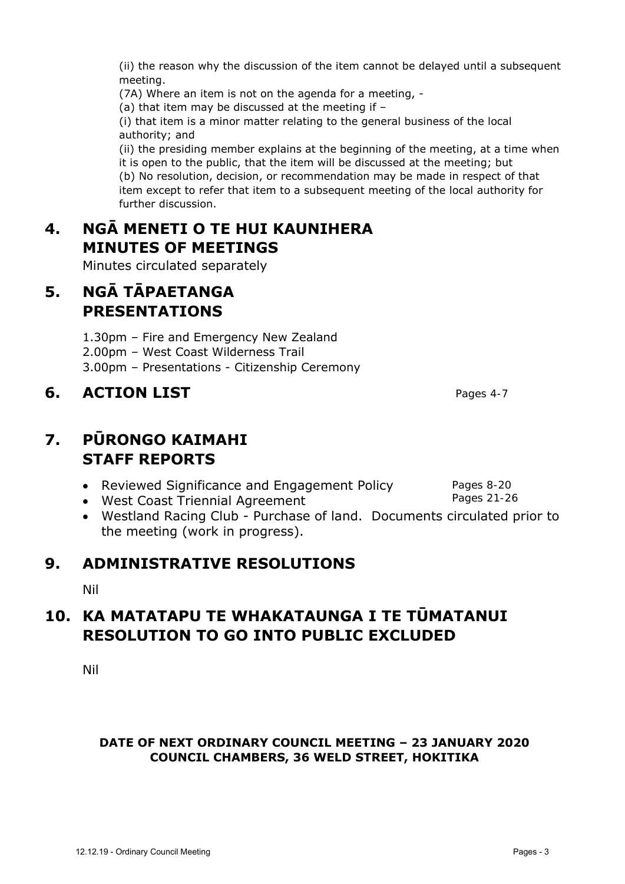(ii) the reason why the discussion of the item cannot be delayed until a subsequent meeting.

(7A) Where an item is not on the agenda for a meeting, -

(a) that item may be discussed at the meeting if –

(i) that item is a minor matter relating to the general business of the local authority; and

(ii) the presiding member explains at the beginning of the meeting, at a time when it is open to the public, that the item will be discussed at the meeting; but (b) No resolution, decision, or recommendation may be made in respect of that item except to refer that item to a subsequent meeting of the local authority for further discussion.

# **4. NGĀ MENETI O TE HUI KAUNIHERA MINUTES OF MEETINGS**

Minutes circulated separately

# **5. NGĀ TĀPAETANGA PRESENTATIONS**

1.30pm – Fire and Emergency New Zealand

2.00pm – West Coast Wilderness Trail

3.00pm – Presentations - Citizenship Ceremony

## **6. ACTION LIST**

## **7. PŪRONGO KAIMAHI STAFF REPORTS**

- Reviewed Significance and Engagement Policy
- West Coast Triennial Agreement
- Westland Racing Club Purchase of land. Documents circulated prior to the meeting (work in progress).

### **9. ADMINISTRATIVE RESOLUTIONS**

Nil

## **10. KA MATATAPU TE WHAKATAUNGA I TE TŪMATANUI RESOLUTION TO GO INTO PUBLIC EXCLUDED**

Nil

#### **DATE OF NEXT ORDINARY COUNCIL MEETING – 23 JANUARY 2020 COUNCIL CHAMBERS, 36 WELD STREET, HOKITIKA**

Pages 8-20 Pages 21-26

Pages 4-7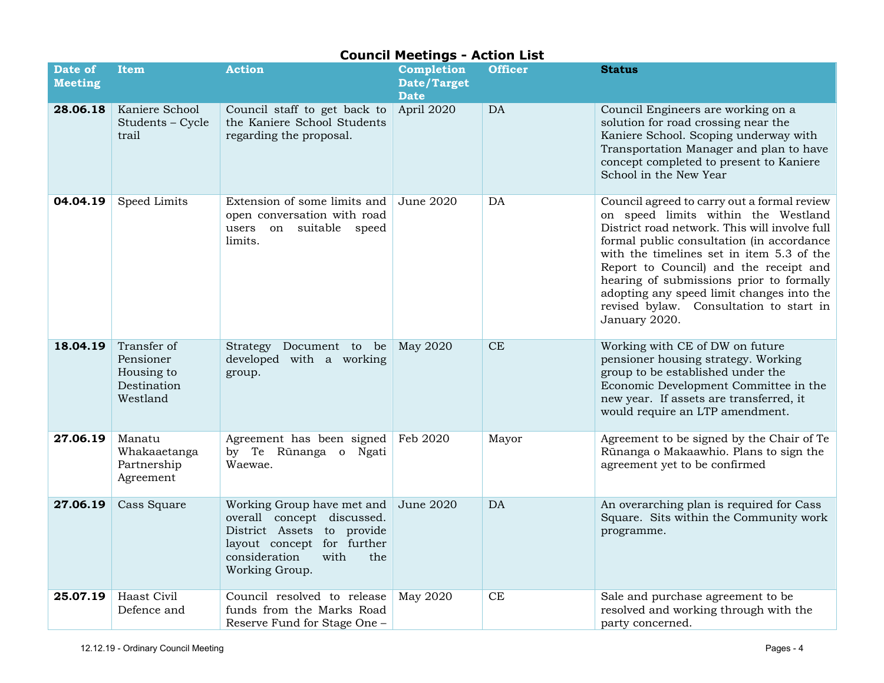|                           |                                                                   |                                                                                                                                                                        | <b>Council Meetings - Action List</b>    |                |                                                                                                                                                                                                                                                                                                                                                                                                                              |
|---------------------------|-------------------------------------------------------------------|------------------------------------------------------------------------------------------------------------------------------------------------------------------------|------------------------------------------|----------------|------------------------------------------------------------------------------------------------------------------------------------------------------------------------------------------------------------------------------------------------------------------------------------------------------------------------------------------------------------------------------------------------------------------------------|
| Date of<br><b>Meeting</b> | <b>Item</b>                                                       | <b>Action</b>                                                                                                                                                          | Completion<br>Date/Target<br><b>Date</b> | <b>Officer</b> | <b>Status</b>                                                                                                                                                                                                                                                                                                                                                                                                                |
| 28.06.18                  | Kaniere School<br>Students - Cycle<br>trail                       | Council staff to get back to<br>the Kaniere School Students<br>regarding the proposal.                                                                                 | April 2020                               | DA             | Council Engineers are working on a<br>solution for road crossing near the<br>Kaniere School. Scoping underway with<br>Transportation Manager and plan to have<br>concept completed to present to Kaniere<br>School in the New Year                                                                                                                                                                                           |
| 04.04.19                  | Speed Limits                                                      | Extension of some limits and<br>open conversation with road<br>users on suitable speed<br>limits.                                                                      | June 2020                                | DA             | Council agreed to carry out a formal review<br>on speed limits within the Westland<br>District road network. This will involve full<br>formal public consultation (in accordance<br>with the timelines set in item 5.3 of the<br>Report to Council) and the receipt and<br>hearing of submissions prior to formally<br>adopting any speed limit changes into the<br>revised bylaw. Consultation to start in<br>January 2020. |
| 18.04.19                  | Transfer of<br>Pensioner<br>Housing to<br>Destination<br>Westland | Strategy Document to be<br>developed with a working<br>group.                                                                                                          | May 2020                                 | <b>CE</b>      | Working with CE of DW on future<br>pensioner housing strategy. Working<br>group to be established under the<br>Economic Development Committee in the<br>new year. If assets are transferred, it<br>would require an LTP amendment.                                                                                                                                                                                           |
| 27.06.19                  | Manatu<br>Whakaaetanga<br>Partnership<br>Agreement                | Agreement has been signed   Feb 2020<br>by Te Rūnanga o Ngati<br>Waewae.                                                                                               |                                          | Mayor          | Agreement to be signed by the Chair of Te<br>Rūnanga o Makaawhio. Plans to sign the<br>agreement yet to be confirmed                                                                                                                                                                                                                                                                                                         |
| 27.06.19                  | Cass Square                                                       | Working Group have met and<br>overall concept discussed.<br>District Assets to provide<br>layout concept for further<br>consideration<br>with<br>the<br>Working Group. | <b>June 2020</b>                         | DA             | An overarching plan is required for Cass<br>Square. Sits within the Community work<br>programme.                                                                                                                                                                                                                                                                                                                             |
| 25.07.19                  | Haast Civil<br>Defence and                                        | Council resolved to release<br>funds from the Marks Road<br>Reserve Fund for Stage One -                                                                               | May 2020                                 | <b>CE</b>      | Sale and purchase agreement to be<br>resolved and working through with the<br>party concerned.                                                                                                                                                                                                                                                                                                                               |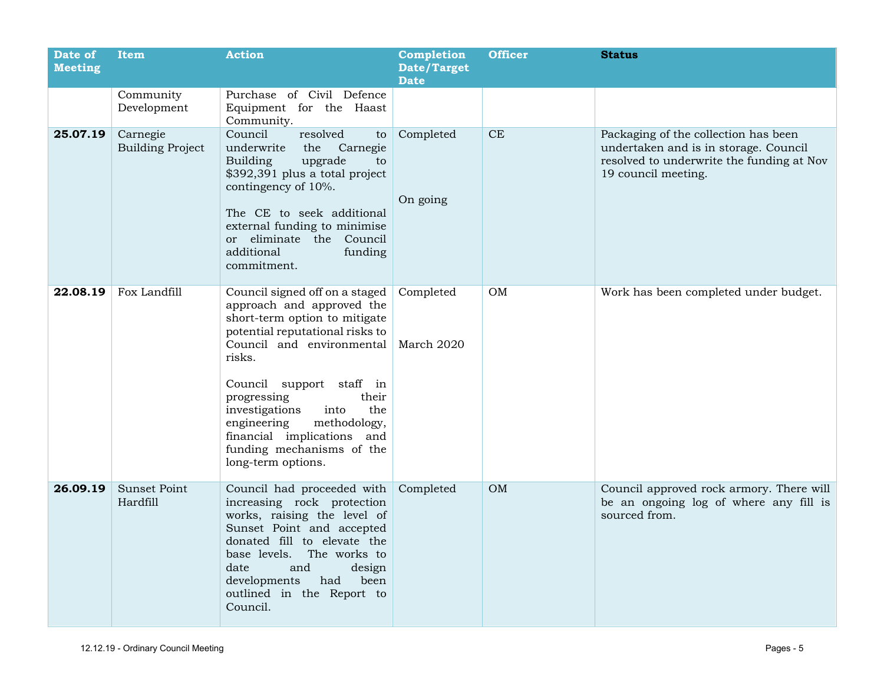| Date of<br><b>Meeting</b> | Item                                | <b>Action</b>                                                                                                                                                                                                                                                                                                                                                               | Completion<br>Date/Target<br><b>Date</b> | <b>Officer</b> | <b>Status</b>                                                                                                                                     |
|---------------------------|-------------------------------------|-----------------------------------------------------------------------------------------------------------------------------------------------------------------------------------------------------------------------------------------------------------------------------------------------------------------------------------------------------------------------------|------------------------------------------|----------------|---------------------------------------------------------------------------------------------------------------------------------------------------|
|                           | Community<br>Development            | Purchase of Civil Defence<br>Equipment for the Haast<br>Community.                                                                                                                                                                                                                                                                                                          |                                          |                |                                                                                                                                                   |
| 25.07.19                  | Carnegie<br><b>Building Project</b> | Council<br>resolved<br>to<br>underwrite<br>Carnegie<br>the<br>Building<br>upgrade<br>to<br>\$392,391 plus a total project<br>contingency of 10%.<br>The CE to seek additional<br>external funding to minimise<br>or eliminate the Council<br>additional<br>funding<br>commitment.                                                                                           | Completed<br>On going                    | CE             | Packaging of the collection has been<br>undertaken and is in storage. Council<br>resolved to underwrite the funding at Nov<br>19 council meeting. |
| 22.08.19                  | Fox Landfill                        | Council signed off on a staged<br>approach and approved the<br>short-term option to mitigate<br>potential reputational risks to<br>Council and environmental<br>risks.<br>Council support staff in<br>progressing<br>their<br>investigations<br>the<br>into<br>engineering<br>methodology,<br>financial implications and<br>funding mechanisms of the<br>long-term options. | Completed<br>March 2020                  | OM             | Work has been completed under budget.                                                                                                             |
| 26.09.19                  | Sunset Point<br>Hardfill            | Council had proceeded with<br>increasing rock protection<br>works, raising the level of<br>Sunset Point and accepted<br>donated fill to elevate the<br>base levels.<br>The works to<br>and<br>date<br>design<br>developments<br>been<br>had<br>outlined in the Report to<br>Council.                                                                                        | Completed                                | OM             | Council approved rock armory. There will<br>be an ongoing log of where any fill is<br>sourced from.                                               |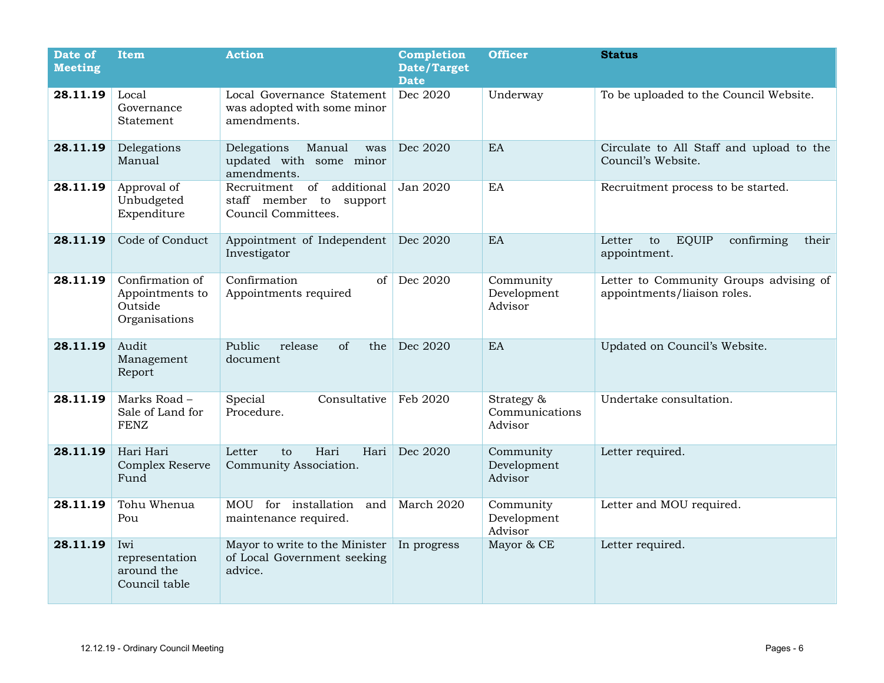| Date of<br><b>Meeting</b> | <b>Item</b>                                                    | <b>Action</b>                                                                  | <b>Completion</b><br><b>Date/Target</b><br><b>Date</b> | <b>Officer</b>                          | <b>Status</b>                                                         |
|---------------------------|----------------------------------------------------------------|--------------------------------------------------------------------------------|--------------------------------------------------------|-----------------------------------------|-----------------------------------------------------------------------|
| 28.11.19                  | Local<br>Governance<br>Statement                               | Local Governance Statement<br>was adopted with some minor<br>amendments.       | Dec 2020                                               | Underway                                | To be uploaded to the Council Website.                                |
| 28.11.19                  | Delegations<br>Manual                                          | Delegations<br>Manual<br>was<br>updated with some minor<br>amendments.         | Dec 2020                                               | EA                                      | Circulate to All Staff and upload to the<br>Council's Website.        |
| 28.11.19                  | Approval of<br>Unbudgeted<br>Expenditure                       | Recruitment of<br>additional<br>staff member to support<br>Council Committees. | Jan 2020                                               | EA                                      | Recruitment process to be started.                                    |
| 28.11.19                  | Code of Conduct                                                | Appointment of Independent<br>Investigator                                     | Dec 2020                                               | EA                                      | <b>EQUIP</b><br>Letter<br>to<br>confirming<br>their<br>appointment.   |
| 28.11.19                  | Confirmation of<br>Appointments to<br>Outside<br>Organisations | Confirmation<br>of<br>Appointments required                                    | Dec 2020                                               | Community<br>Development<br>Advisor     | Letter to Community Groups advising of<br>appointments/liaison roles. |
| 28.11.19                  | Audit<br>Management<br>Report                                  | Public<br>release<br>of<br>the<br>document                                     | Dec 2020                                               | EA                                      | Updated on Council's Website.                                         |
| 28.11.19                  | Marks Road -<br>Sale of Land for<br><b>FENZ</b>                | Special<br>Consultative<br>Procedure.                                          | Feb 2020                                               | Strategy &<br>Communications<br>Advisor | Undertake consultation.                                               |
| 28.11.19                  | Hari Hari<br><b>Complex Reserve</b><br>Fund                    | Hari<br>Letter<br>Hari<br>$\mathsf{to}$<br>Community Association.              | Dec 2020                                               | Community<br>Development<br>Advisor     | Letter required.                                                      |
| 28.11.19                  | Tohu Whenua<br>Pou                                             | MOU for installation<br>and<br>maintenance required.                           | March 2020                                             | Community<br>Development<br>Advisor     | Letter and MOU required.                                              |
| 28.11.19                  | Iwi<br>representation<br>around the<br>Council table           | Mayor to write to the Minister<br>of Local Government seeking<br>advice.       | In progress                                            | Mayor & CE                              | Letter required.                                                      |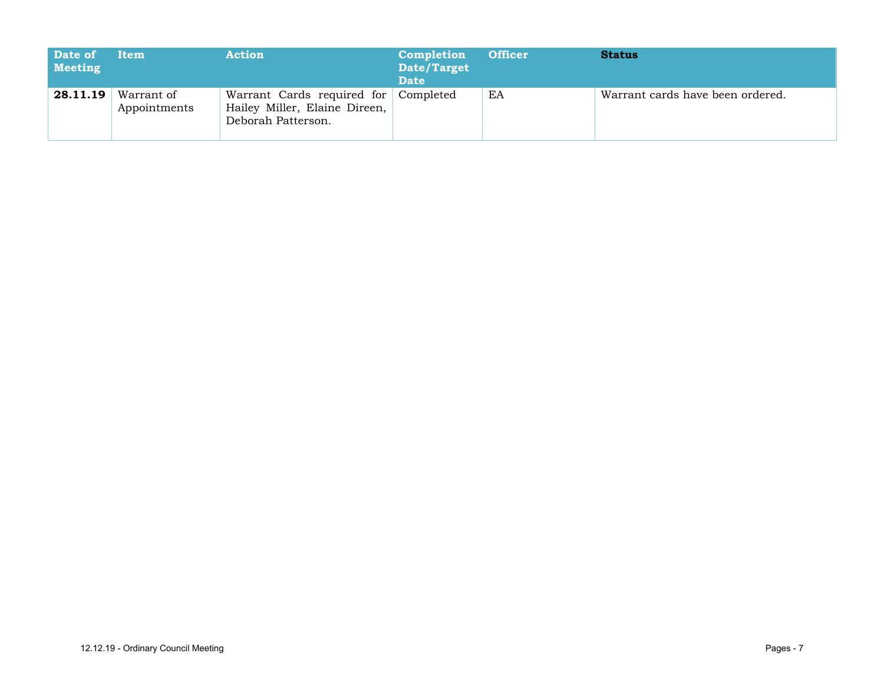| Date of<br>Meeting | Item                       | <b>Action</b>                                                                               | Completion<br>Date/Target<br><b>Date</b> | <b>Officer</b> | <b>Status</b>                    |
|--------------------|----------------------------|---------------------------------------------------------------------------------------------|------------------------------------------|----------------|----------------------------------|
| 28.11.19           | Warrant of<br>Appointments | Warrant Cards required for Completed<br>Hailey Miller, Elaine Direen,<br>Deborah Patterson. |                                          | EA             | Warrant cards have been ordered. |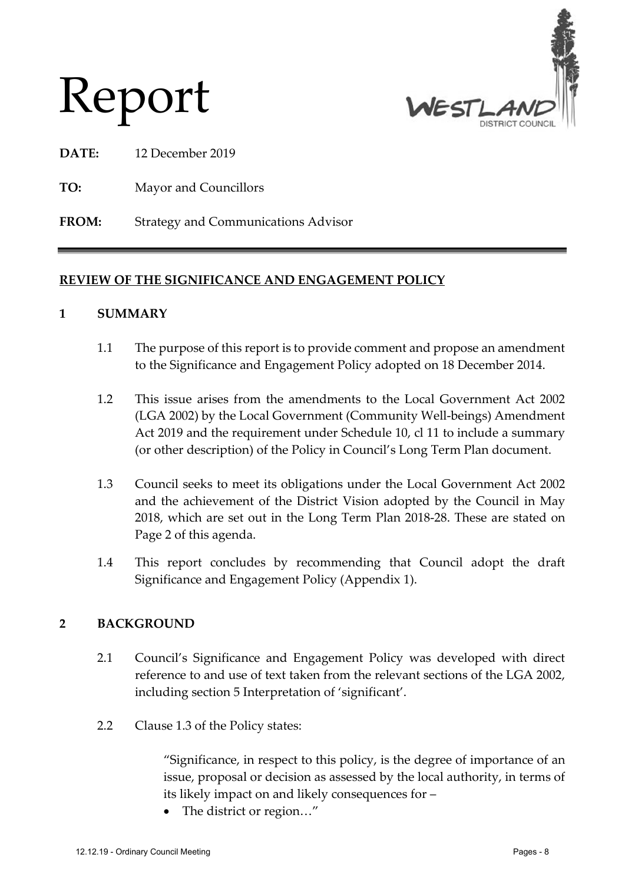

# Report

**DATE:** 12 December 2019

**TO:** Mayor and Councillors

**FROM:** Strategy and Communications Advisor

#### **REVIEW OF THE SIGNIFICANCE AND ENGAGEMENT POLICY**

#### **1 SUMMARY**

- 1.1 The purpose of this report is to provide comment and propose an amendment to the Significance and Engagement Policy adopted on 18 December 2014.
- 1.2 This issue arises from the amendments to the Local Government Act 2002 (LGA 2002) by the Local Government (Community Well-beings) Amendment Act 2019 and the requirement under Schedule 10, cl 11 to include a summary (or other description) of the Policy in Council's Long Term Plan document.
- 1.3 Council seeks to meet its obligations under the Local Government Act 2002 and the achievement of the District Vision adopted by the Council in May 2018, which are set out in the Long Term Plan 2018-28. These are stated on Page 2 of this agenda.
- 1.4 This report concludes by recommending that Council adopt the draft Significance and Engagement Policy (Appendix 1).

#### **2 BACKGROUND**

- 2.1 Council's Significance and Engagement Policy was developed with direct reference to and use of text taken from the relevant sections of the LGA 2002, including section 5 Interpretation of 'significant'.
- 2.2 Clause 1.3 of the Policy states:

"Significance, in respect to this policy, is the degree of importance of an issue, proposal or decision as assessed by the local authority, in terms of its likely impact on and likely consequences for –

• The district or region..."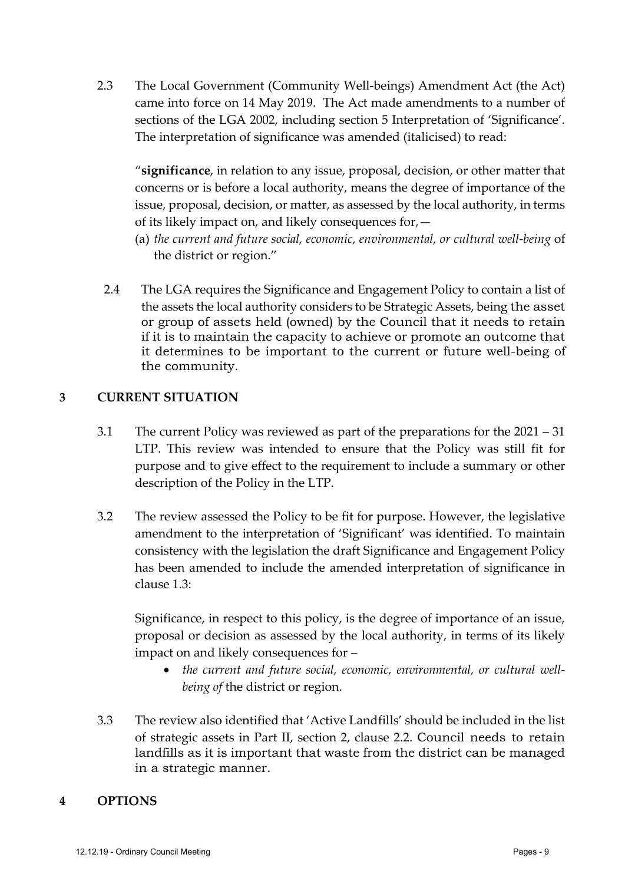2.3 The Local Government (Community Well-beings) Amendment Act (the Act) came into force on 14 May 2019. The Act made amendments to a number of sections of the LGA 2002, including section 5 Interpretation of 'Significance'. The interpretation of significance was amended (italicised) to read:

"**significance**, in relation to any issue, proposal, decision, or other matter that concerns or is before a local authority, means the degree of importance of the issue, proposal, decision, or matter, as assessed by the local authority, in terms of its likely impact on, and likely consequences for,—

- (a) *the current and future social, economic, environmental, or cultural well-being* of the district or region."
- 2.4 The LGA requires the Significance and Engagement Policy to contain a list of the assets the local authority considers to be Strategic Assets, being the asset or group of assets held (owned) by the Council that it needs to retain if it is to maintain the capacity to achieve or promote an outcome that it determines to be important to the current or future well-being of the community.

#### **3 CURRENT SITUATION**

- 3.1 The current Policy was reviewed as part of the preparations for the 2021 31 LTP. This review was intended to ensure that the Policy was still fit for purpose and to give effect to the requirement to include a summary or other description of the Policy in the LTP.
- 3.2 The review assessed the Policy to be fit for purpose. However, the legislative amendment to the interpretation of 'Significant' was identified. To maintain consistency with the legislation the draft Significance and Engagement Policy has been amended to include the amended interpretation of significance in clause 1.3:

Significance, in respect to this policy, is the degree of importance of an issue, proposal or decision as assessed by the local authority, in terms of its likely impact on and likely consequences for –

- *the current and future social, economic, environmental, or cultural wellbeing of* the district or region.
- 3.3 The review also identified that 'Active Landfills' should be included in the list of strategic assets in Part II, section 2, clause 2.2. Council needs to retain landfills as it is important that waste from the district can be managed in a strategic manner.

#### **4 OPTIONS**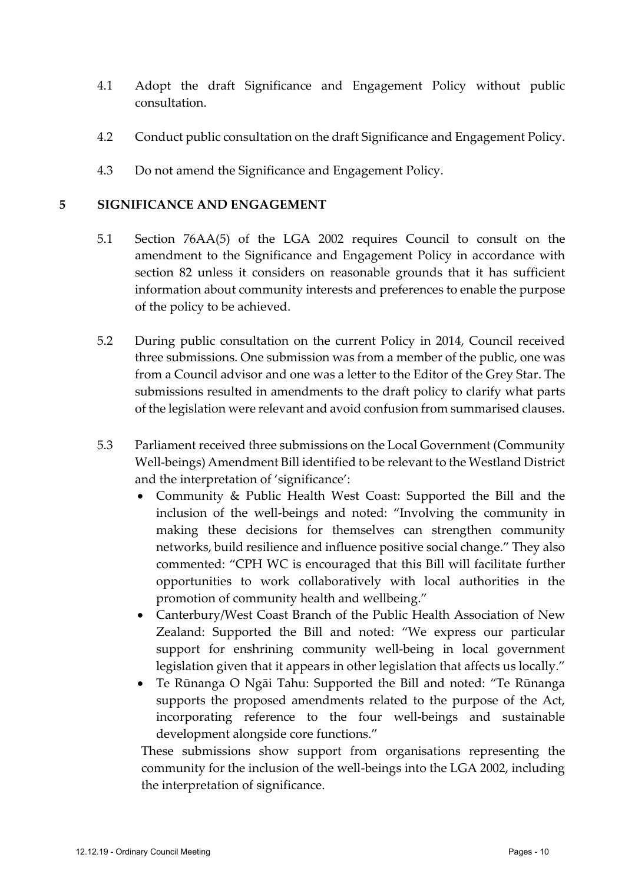- 4.1 Adopt the draft Significance and Engagement Policy without public consultation.
- 4.2 Conduct public consultation on the draft Significance and Engagement Policy.
- 4.3 Do not amend the Significance and Engagement Policy.

#### **5 SIGNIFICANCE AND ENGAGEMENT**

- 5.1 Section 76AA(5) of the LGA 2002 requires Council to consult on the amendment to the Significance and Engagement Policy in accordance with section 82 unless it considers on reasonable grounds that it has sufficient information about community interests and preferences to enable the purpose of the policy to be achieved.
- 5.2 During public consultation on the current Policy in 2014, Council received three submissions. One submission was from a member of the public, one was from a Council advisor and one was a letter to the Editor of the Grey Star. The submissions resulted in amendments to the draft policy to clarify what parts of the legislation were relevant and avoid confusion from summarised clauses.
- 5.3 Parliament received three submissions on the Local Government (Community Well-beings) Amendment Bill identified to be relevant to the Westland District and the interpretation of 'significance':
	- Community & Public Health West Coast: Supported the Bill and the inclusion of the well-beings and noted: "Involving the community in making these decisions for themselves can strengthen community networks, build resilience and influence positive social change." They also commented: "CPH WC is encouraged that this Bill will facilitate further opportunities to work collaboratively with local authorities in the promotion of community health and wellbeing."
	- Canterbury/West Coast Branch of the Public Health Association of New Zealand: Supported the Bill and noted: "We express our particular support for enshrining community well-being in local government legislation given that it appears in other legislation that affects us locally."
	- Te Rūnanga O Ngāi Tahu: Supported the Bill and noted: "Te Rūnanga supports the proposed amendments related to the purpose of the Act, incorporating reference to the four well-beings and sustainable development alongside core functions."

These submissions show support from organisations representing the community for the inclusion of the well-beings into the LGA 2002, including the interpretation of significance.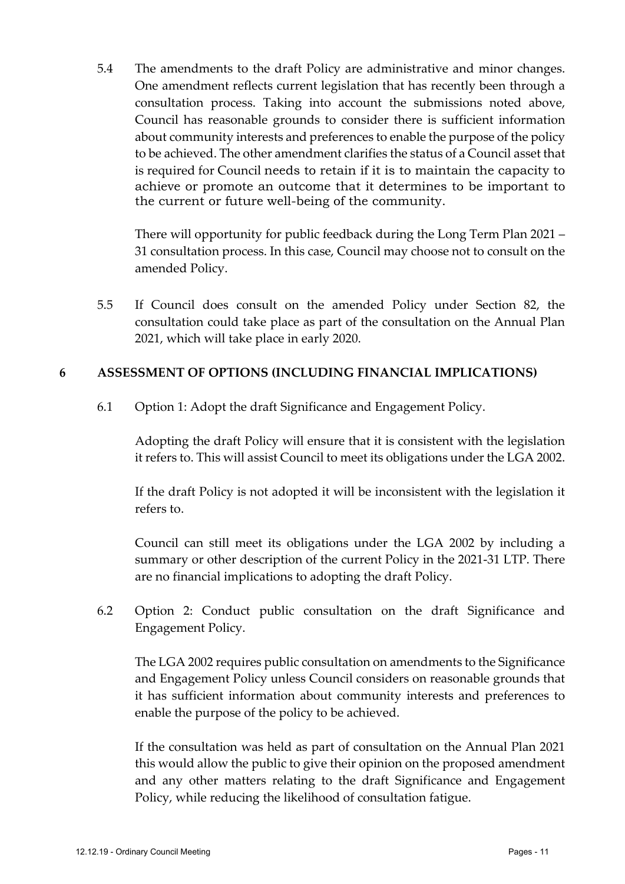5.4 The amendments to the draft Policy are administrative and minor changes. One amendment reflects current legislation that has recently been through a consultation process. Taking into account the submissions noted above, Council has reasonable grounds to consider there is sufficient information about community interests and preferences to enable the purpose of the policy to be achieved. The other amendment clarifies the status of a Council asset that is required for Council needs to retain if it is to maintain the capacity to achieve or promote an outcome that it determines to be important to the current or future well-being of the community.

There will opportunity for public feedback during the Long Term Plan 2021 – 31 consultation process. In this case, Council may choose not to consult on the amended Policy.

5.5 If Council does consult on the amended Policy under Section 82, the consultation could take place as part of the consultation on the Annual Plan 2021, which will take place in early 2020.

#### **6 ASSESSMENT OF OPTIONS (INCLUDING FINANCIAL IMPLICATIONS)**

6.1 Option 1: Adopt the draft Significance and Engagement Policy.

Adopting the draft Policy will ensure that it is consistent with the legislation it refers to. This will assist Council to meet its obligations under the LGA 2002.

If the draft Policy is not adopted it will be inconsistent with the legislation it refers to.

Council can still meet its obligations under the LGA 2002 by including a summary or other description of the current Policy in the 2021-31 LTP. There are no financial implications to adopting the draft Policy.

6.2 Option 2: Conduct public consultation on the draft Significance and Engagement Policy.

The LGA 2002 requires public consultation on amendments to the Significance and Engagement Policy unless Council considers on reasonable grounds that it has sufficient information about community interests and preferences to enable the purpose of the policy to be achieved.

If the consultation was held as part of consultation on the Annual Plan 2021 this would allow the public to give their opinion on the proposed amendment and any other matters relating to the draft Significance and Engagement Policy, while reducing the likelihood of consultation fatigue.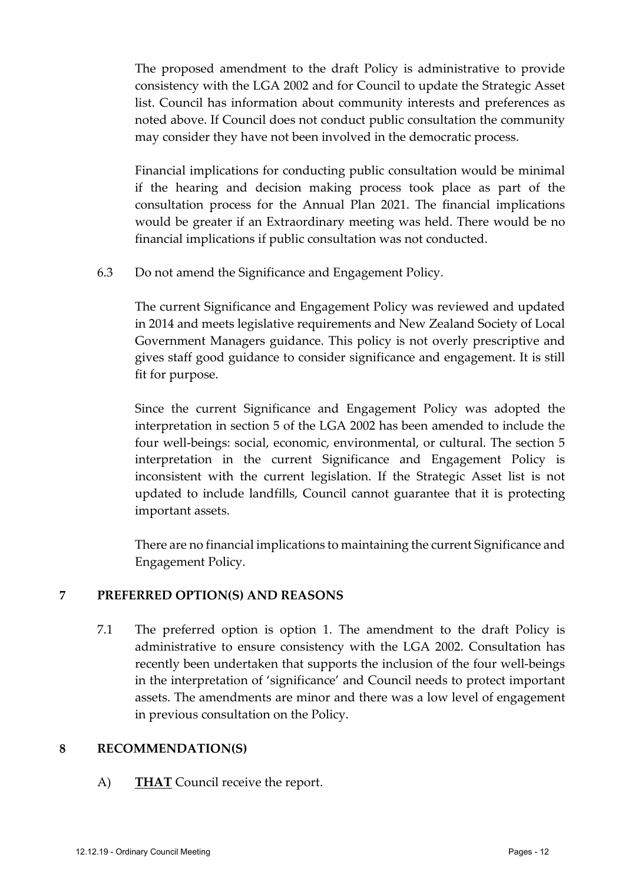The proposed amendment to the draft Policy is administrative to provide consistency with the LGA 2002 and for Council to update the Strategic Asset list. Council has information about community interests and preferences as noted above. If Council does not conduct public consultation the community may consider they have not been involved in the democratic process.

Financial implications for conducting public consultation would be minimal if the hearing and decision making process took place as part of the consultation process for the Annual Plan 2021. The financial implications would be greater if an Extraordinary meeting was held. There would be no financial implications if public consultation was not conducted.

6.3 Do not amend the Significance and Engagement Policy.

The current Significance and Engagement Policy was reviewed and updated in 2014 and meets legislative requirements and New Zealand Society of Local Government Managers guidance. This policy is not overly prescriptive and gives staff good guidance to consider significance and engagement. It is still fit for purpose.

Since the current Significance and Engagement Policy was adopted the interpretation in section 5 of the LGA 2002 has been amended to include the four well-beings: social, economic, environmental, or cultural. The section 5 interpretation in the current Significance and Engagement Policy is inconsistent with the current legislation. If the Strategic Asset list is not updated to include landfills, Council cannot guarantee that it is protecting important assets.

There are no financial implications to maintaining the current Significance and Engagement Policy.

#### **7 PREFERRED OPTION(S) AND REASONS**

7.1 The preferred option is option 1. The amendment to the draft Policy is administrative to ensure consistency with the LGA 2002. Consultation has recently been undertaken that supports the inclusion of the four well-beings in the interpretation of 'significance' and Council needs to protect important assets. The amendments are minor and there was a low level of engagement in previous consultation on the Policy.

#### **8 RECOMMENDATION(S)**

A) **THAT** Council receive the report.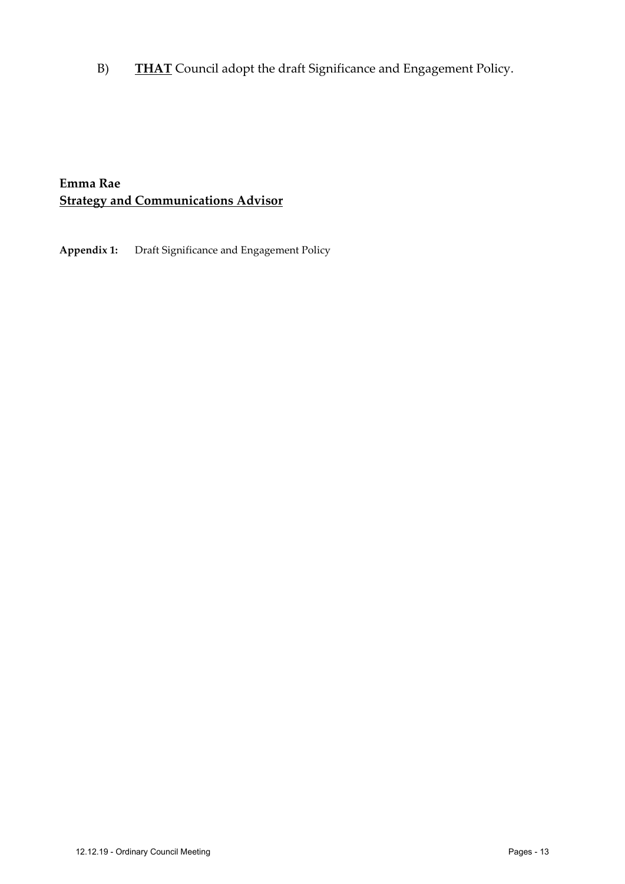B) **THAT** Council adopt the draft Significance and Engagement Policy.

#### **Emma Rae Strategy and Communications Advisor**

**Appendix 1:** Draft Significance and Engagement Policy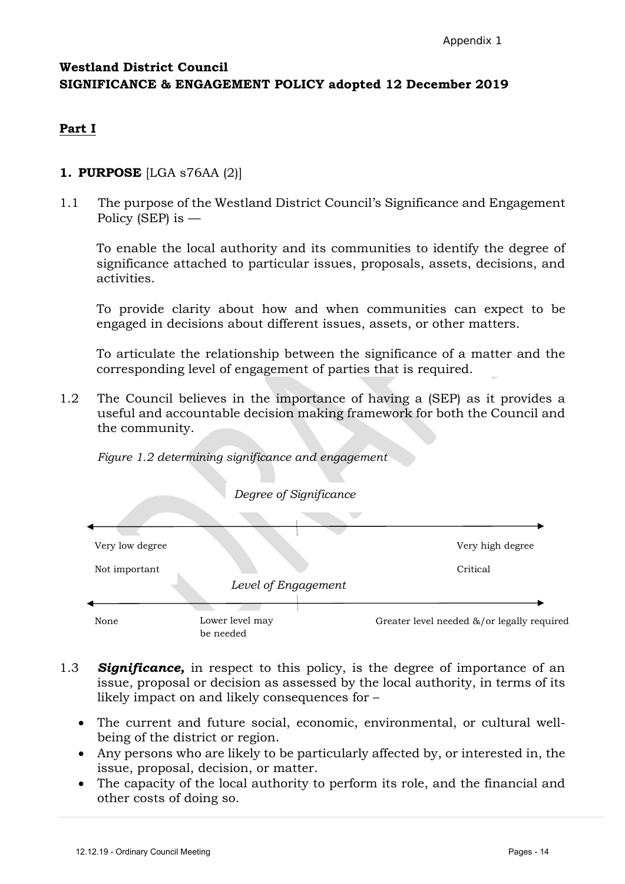#### **Westland District Council SIGNIFICANCE & ENGAGEMENT POLICY adopted 12 December 2019**

#### **Part I**

#### **1. PURPOSE** [LGA s76AA (2)]

1.1 The purpose of the Westland District Council's Significance and Engagement Policy (SEP) is —

To enable the local authority and its communities to identify the degree of significance attached to particular issues, proposals, assets, decisions, and activities.

To provide clarity about how and when communities can expect to be engaged in decisions about different issues, assets, or other matters.

To articulate the relationship between the significance of a matter and the corresponding level of engagement of parties that is required.

1.2 The Council believes in the importance of having a (SEP) as it provides a useful and accountable decision making framework for both the Council and the community.





- 1.3 *Significance,* in respect to this policy, is the degree of importance of an issue, proposal or decision as assessed by the local authority, in terms of its likely impact on and likely consequences for –
	- The current and future social, economic, environmental, or cultural wellbeing of the district or region.
	- Any persons who are likely to be particularly affected by, or interested in, the issue, proposal, decision, or matter.
	- The capacity of the local authority to perform its role, and the financial and other costs of doing so.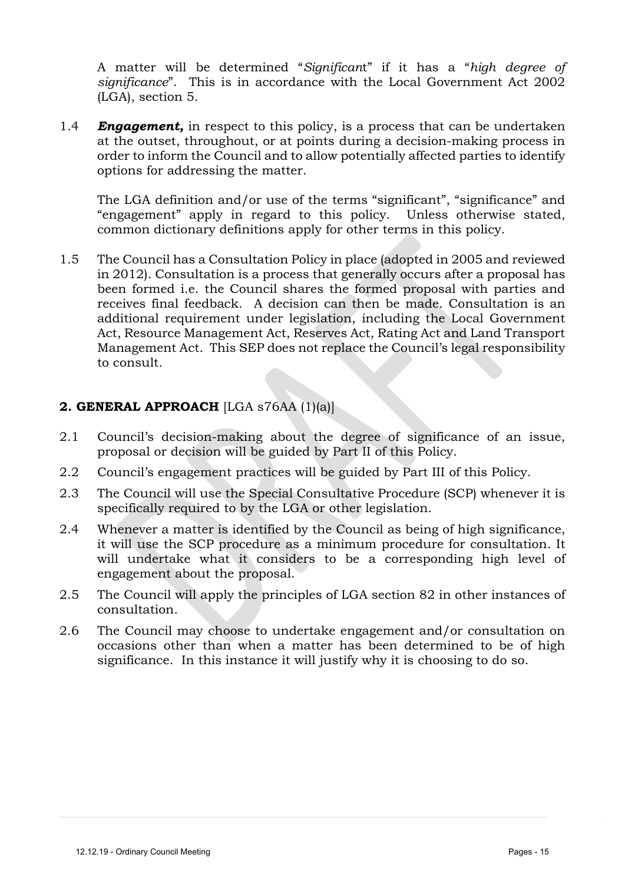A matter will be determined "*Significan*t" if it has a "*high degree of significance*". This is in accordance with the Local Government Act 2002 (LGA), section 5.

1.4 *Engagement,* in respect to this policy, is a process that can be undertaken at the outset, throughout, or at points during a decision-making process in order to inform the Council and to allow potentially affected parties to identify options for addressing the matter.

The LGA definition and/or use of the terms "significant", "significance" and "engagement" apply in regard to this policy. Unless otherwise stated, common dictionary definitions apply for other terms in this policy.

1.5 The Council has a Consultation Policy in place (adopted in 2005 and reviewed in 2012). Consultation is a process that generally occurs after a proposal has been formed i.e. the Council shares the formed proposal with parties and receives final feedback. A decision can then be made. Consultation is an additional requirement under legislation, including the Local Government Act, Resource Management Act, Reserves Act, Rating Act and Land Transport Management Act. This SEP does not replace the Council's legal responsibility to consult.

#### **2. GENERAL APPROACH** [LGA s76AA (1)(a)]

- 2.1 Council's decision-making about the degree of significance of an issue, proposal or decision will be guided by Part II of this Policy.
- 2.2 Council's engagement practices will be guided by Part III of this Policy.
- 2.3 The Council will use the Special Consultative Procedure (SCP) whenever it is specifically required to by the LGA or other legislation.
- 2.4 Whenever a matter is identified by the Council as being of high significance, it will use the SCP procedure as a minimum procedure for consultation. It will undertake what it considers to be a corresponding high level of engagement about the proposal.
- 2.5 The Council will apply the principles of LGA section 82 in other instances of consultation.
- 2.6 The Council may choose to undertake engagement and/or consultation on occasions other than when a matter has been determined to be of high significance. In this instance it will justify why it is choosing to do so.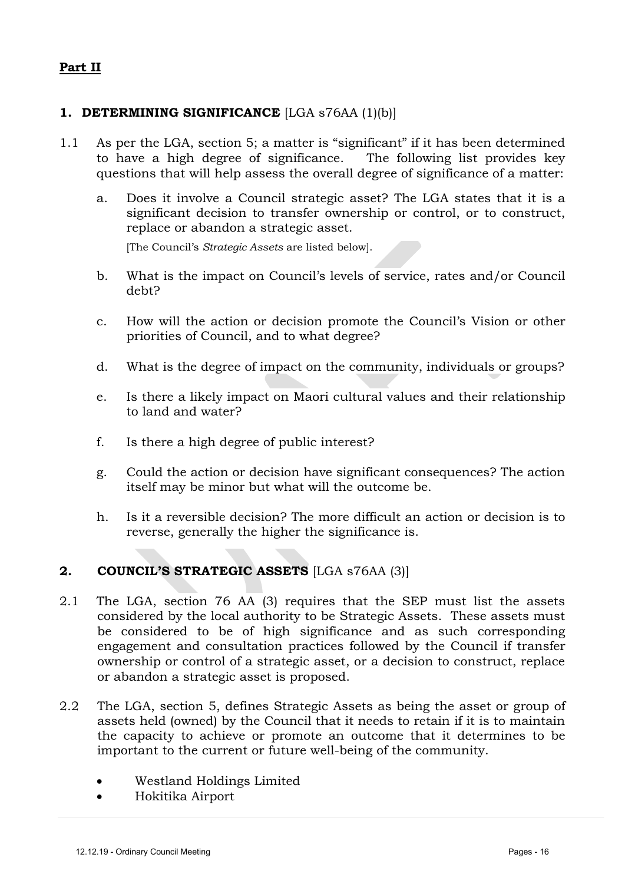#### **Part II**

#### **1. DETERMINING SIGNIFICANCE** [LGA s76AA (1)(b)]

- 1.1 As per the LGA, section 5; a matter is "significant" if it has been determined to have a high degree of significance. The following list provides key questions that will help assess the overall degree of significance of a matter:
	- a. Does it involve a Council strategic asset? The LGA states that it is a significant decision to transfer ownership or control, or to construct, replace or abandon a strategic asset.

[The Council's *Strategic Assets* are listed below].

- b. What is the impact on Council's levels of service, rates and/or Council debt?
- c. How will the action or decision promote the Council's Vision or other priorities of Council, and to what degree?
- d. What is the degree of impact on the community, individuals or groups?
- e. Is there a likely impact on Maori cultural values and their relationship to land and water?
- f. Is there a high degree of public interest?
- g. Could the action or decision have significant consequences? The action itself may be minor but what will the outcome be.
- h. Is it a reversible decision? The more difficult an action or decision is to reverse, generally the higher the significance is.

#### **2. COUNCIL'S STRATEGIC ASSETS** [LGA s76AA (3)]

- 2.1 The LGA, section 76 AA (3) requires that the SEP must list the assets considered by the local authority to be Strategic Assets. These assets must be considered to be of high significance and as such corresponding engagement and consultation practices followed by the Council if transfer ownership or control of a strategic asset, or a decision to construct, replace or abandon a strategic asset is proposed.
- 2.2 The LGA, section 5, defines Strategic Assets as being the asset or group of assets held (owned) by the Council that it needs to retain if it is to maintain the capacity to achieve or promote an outcome that it determines to be important to the current or future well-being of the community.
	- Westland Holdings Limited
	- Hokitika Airport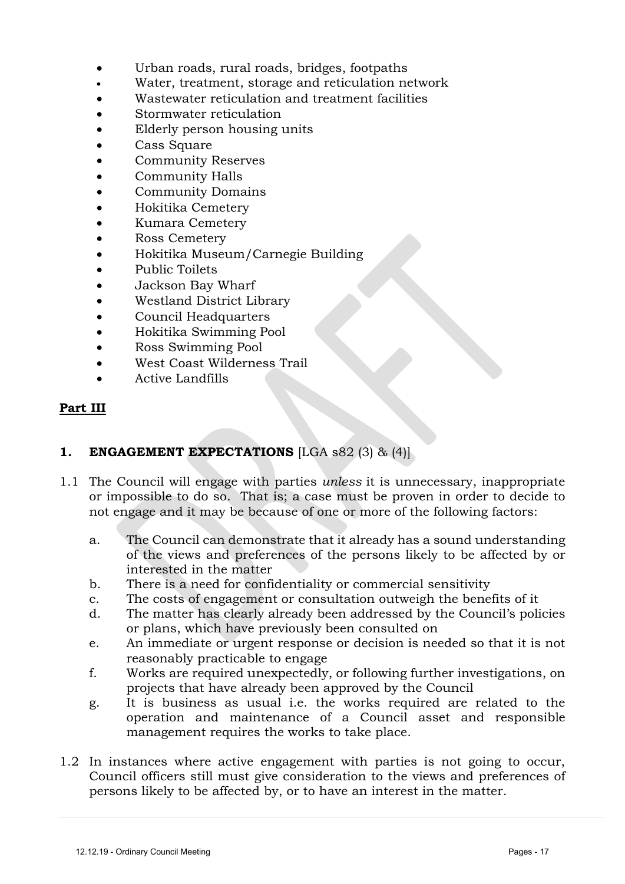- Urban roads, rural roads, bridges, footpaths
- Water, treatment, storage and reticulation network
- Wastewater reticulation and treatment facilities
- Stormwater reticulation
- Elderly person housing units
- Cass Square
- Community Reserves
- Community Halls
- Community Domains
- Hokitika Cemetery
- Kumara Cemetery
- Ross Cemetery
- Hokitika Museum/Carnegie Building
- Public Toilets
- Jackson Bay Wharf
- Westland District Library
- Council Headquarters
- Hokitika Swimming Pool
- Ross Swimming Pool
- West Coast Wilderness Trail
- Active Landfills

#### **Part III**

#### **1. ENGAGEMENT EXPECTATIONS** [LGA s82 (3) & (4)]

- 1.1 The Council will engage with parties *unless* it is unnecessary, inappropriate or impossible to do so. That is; a case must be proven in order to decide to not engage and it may be because of one or more of the following factors:
	- a. The Council can demonstrate that it already has a sound understanding of the views and preferences of the persons likely to be affected by or interested in the matter
	- b. There is a need for confidentiality or commercial sensitivity
	- c. The costs of engagement or consultation outweigh the benefits of it
	- d. The matter has clearly already been addressed by the Council's policies or plans, which have previously been consulted on
	- e. An immediate or urgent response or decision is needed so that it is not reasonably practicable to engage
	- f. Works are required unexpectedly, or following further investigations, on projects that have already been approved by the Council
	- g. It is business as usual i.e. the works required are related to the operation and maintenance of a Council asset and responsible management requires the works to take place.
- 1.2 In instances where active engagement with parties is not going to occur, Council officers still must give consideration to the views and preferences of persons likely to be affected by, or to have an interest in the matter.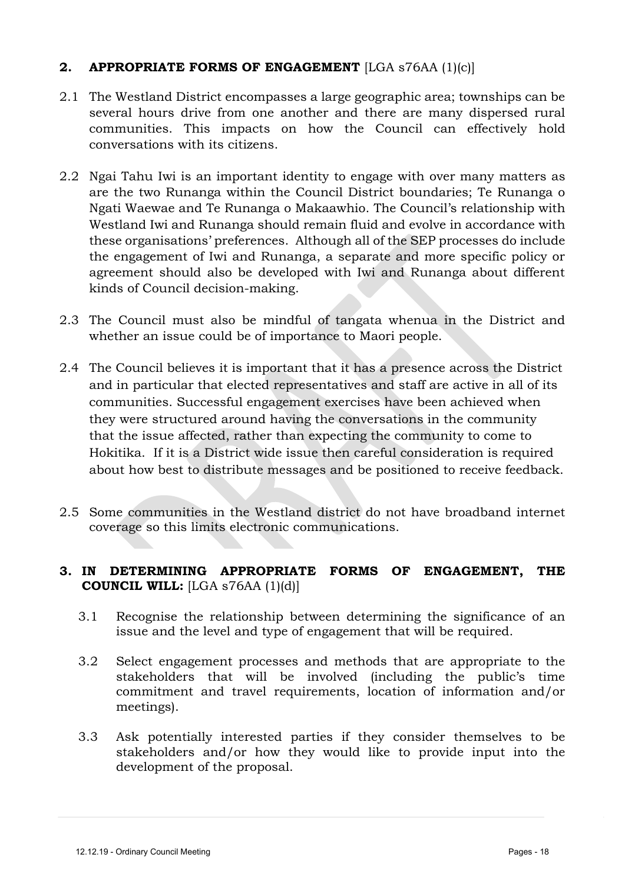#### **2. APPROPRIATE FORMS OF ENGAGEMENT** [LGA s76AA (1)(c)]

- 2.1 The Westland District encompasses a large geographic area; townships can be several hours drive from one another and there are many dispersed rural communities. This impacts on how the Council can effectively hold conversations with its citizens.
- 2.2 Ngai Tahu Iwi is an important identity to engage with over many matters as are the two Runanga within the Council District boundaries; Te Runanga o Ngati Waewae and Te Runanga o Makaawhio. The Council's relationship with Westland Iwi and Runanga should remain fluid and evolve in accordance with these organisations' preferences. Although all of the SEP processes do include the engagement of Iwi and Runanga, a separate and more specific policy or agreement should also be developed with Iwi and Runanga about different kinds of Council decision-making.
- 2.3 The Council must also be mindful of tangata whenua in the District and whether an issue could be of importance to Maori people.
- 2.4 The Council believes it is important that it has a presence across the District and in particular that elected representatives and staff are active in all of its communities. Successful engagement exercises have been achieved when they were structured around having the conversations in the community that the issue affected, rather than expecting the community to come to Hokitika. If it is a District wide issue then careful consideration is required about how best to distribute messages and be positioned to receive feedback.
- 2.5 Some communities in the Westland district do not have broadband internet coverage so this limits electronic communications.

#### **3. IN DETERMINING APPROPRIATE FORMS OF ENGAGEMENT, THE COUNCIL WILL:** [LGA s76AA (1)(d)]

- 3.1 Recognise the relationship between determining the significance of an issue and the level and type of engagement that will be required.
- 3.2 Select engagement processes and methods that are appropriate to the stakeholders that will be involved (including the public's time commitment and travel requirements, location of information and/or meetings).
- 3.3 Ask potentially interested parties if they consider themselves to be stakeholders and/or how they would like to provide input into the development of the proposal.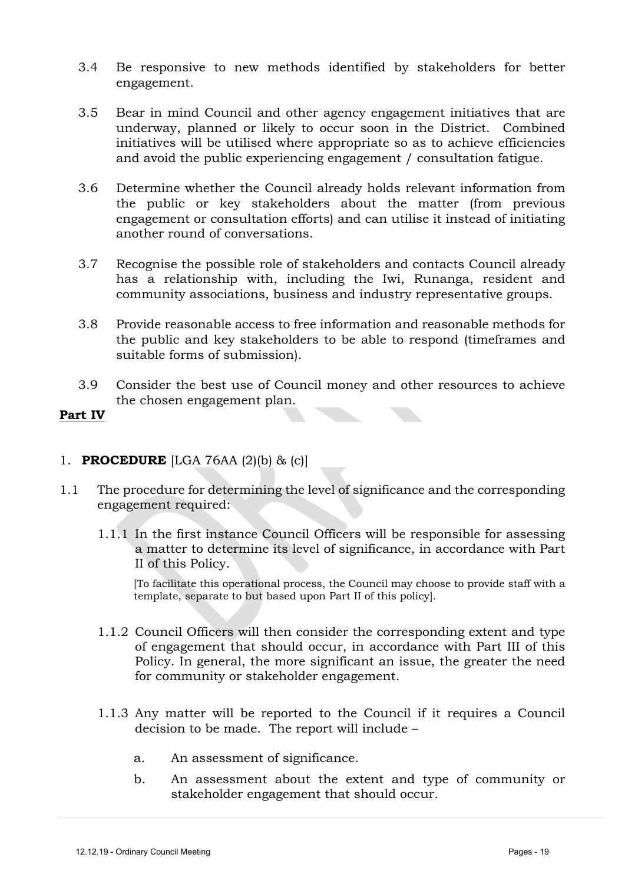- 3.4 Be responsive to new methods identified by stakeholders for better engagement.
- 3.5 Bear in mind Council and other agency engagement initiatives that are underway, planned or likely to occur soon in the District. Combined initiatives will be utilised where appropriate so as to achieve efficiencies and avoid the public experiencing engagement / consultation fatigue.
- 3.6 Determine whether the Council already holds relevant information from the public or key stakeholders about the matter (from previous engagement or consultation efforts) and can utilise it instead of initiating another round of conversations.
- 3.7 Recognise the possible role of stakeholders and contacts Council already has a relationship with, including the Iwi, Runanga, resident and community associations, business and industry representative groups.
- 3.8 Provide reasonable access to free information and reasonable methods for the public and key stakeholders to be able to respond (timeframes and suitable forms of submission).
- 3.9 Consider the best use of Council money and other resources to achieve the chosen engagement plan.

#### **Part IV**

#### 1. **PROCEDURE** [LGA 76AA (2)(b) & (c)]

- 1.1 The procedure for determining the level of significance and the corresponding engagement required:
	- 1.1.1 In the first instance Council Officers will be responsible for assessing a matter to determine its level of significance, in accordance with Part II of this Policy.

[To facilitate this operational process, the Council may choose to provide staff with a template, separate to but based upon Part II of this policy].

- 1.1.2 Council Officers will then consider the corresponding extent and type of engagement that should occur, in accordance with Part III of this Policy. In general, the more significant an issue, the greater the need for community or stakeholder engagement.
- 1.1.3 Any matter will be reported to the Council if it requires a Council decision to be made. The report will include –
	- a. An assessment of significance.
	- b. An assessment about the extent and type of community or stakeholder engagement that should occur.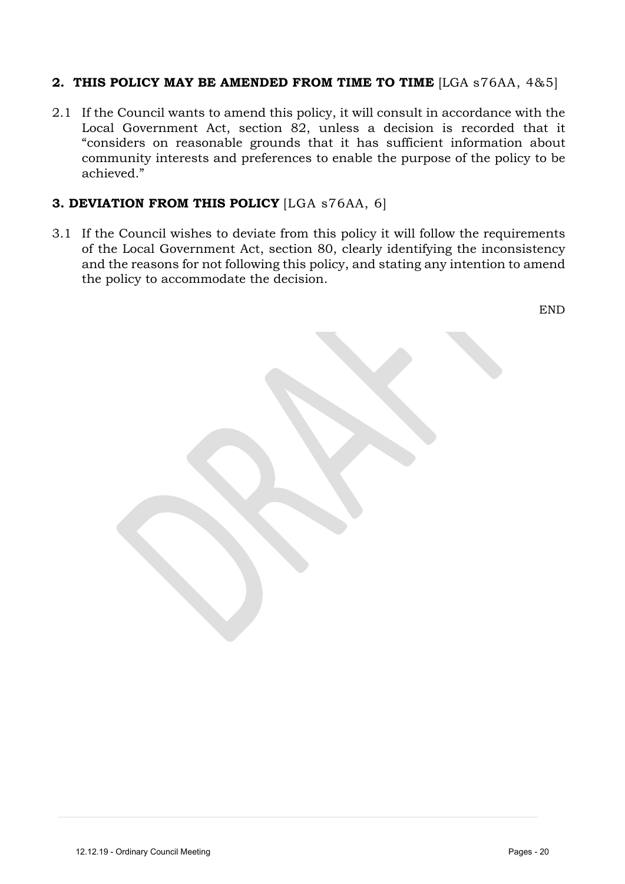#### **2. THIS POLICY MAY BE AMENDED FROM TIME TO TIME** [LGA s76AA, 4&5]

2.1 If the Council wants to amend this policy, it will consult in accordance with the Local Government Act, section 82, unless a decision is recorded that it "considers on reasonable grounds that it has sufficient information about community interests and preferences to enable the purpose of the policy to be achieved."

#### **3. DEVIATION FROM THIS POLICY** [LGA s76AA, 6]

3.1 If the Council wishes to deviate from this policy it will follow the requirements of the Local Government Act, section 80, clearly identifying the inconsistency and the reasons for not following this policy, and stating any intention to amend the policy to accommodate the decision.

END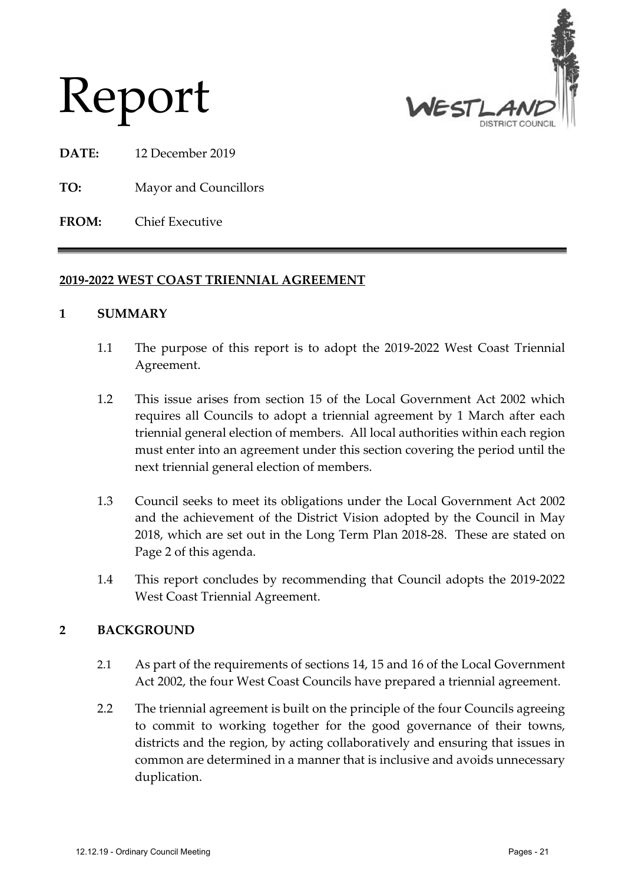



- **DATE:** 12 December 2019
- **TO:** Mayor and Councillors
- **FROM:** Chief Executive

#### **2019-2022 WEST COAST TRIENNIAL AGREEMENT**

#### **1 SUMMARY**

- 1.1 The purpose of this report is to adopt the 2019-2022 West Coast Triennial Agreement.
- 1.2 This issue arises from section 15 of the Local Government Act 2002 which requires all Councils to adopt a triennial agreement by 1 March after each triennial general election of members. All local authorities within each region must enter into an agreement under this section covering the period until the next triennial general election of members.
- 1.3 Council seeks to meet its obligations under the Local Government Act 2002 and the achievement of the District Vision adopted by the Council in May 2018, which are set out in the Long Term Plan 2018-28. These are stated on Page 2 of this agenda.
- 1.4 This report concludes by recommending that Council adopts the 2019-2022 West Coast Triennial Agreement.

#### **2 BACKGROUND**

- 2.1 As part of the requirements of sections 14, 15 and 16 of the Local Government Act 2002, the four West Coast Councils have prepared a triennial agreement.
- 2.2 The triennial agreement is built on the principle of the four Councils agreeing to commit to working together for the good governance of their towns, districts and the region, by acting collaboratively and ensuring that issues in common are determined in a manner that is inclusive and avoids unnecessary duplication.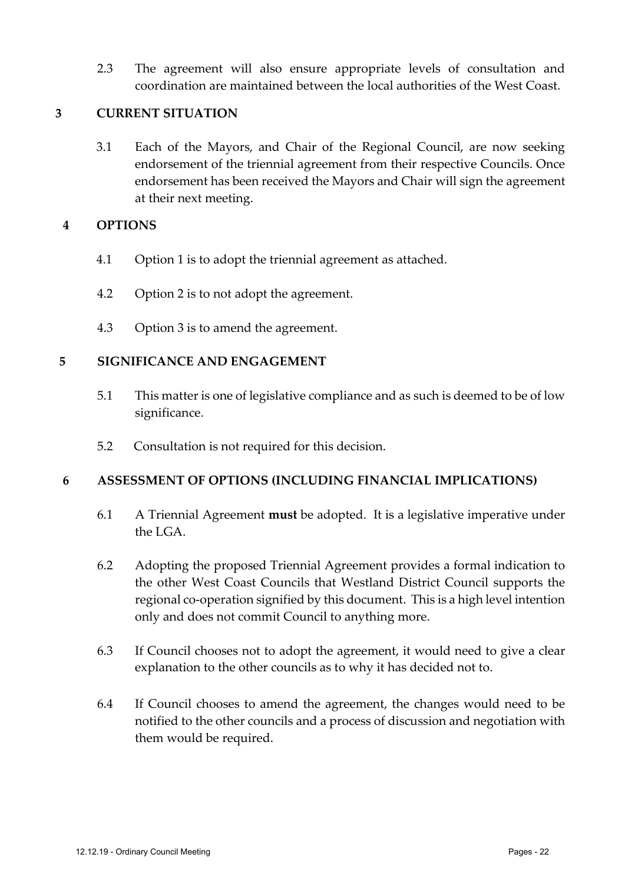2.3 The agreement will also ensure appropriate levels of consultation and coordination are maintained between the local authorities of the West Coast.

#### **3 CURRENT SITUATION**

3.1 Each of the Mayors, and Chair of the Regional Council, are now seeking endorsement of the triennial agreement from their respective Councils. Once endorsement has been received the Mayors and Chair will sign the agreement at their next meeting.

#### **4 OPTIONS**

- 4.1 Option 1 is to adopt the triennial agreement as attached.
- 4.2 Option 2 is to not adopt the agreement.
- 4.3 Option 3 is to amend the agreement.

#### **5 SIGNIFICANCE AND ENGAGEMENT**

- 5.1 This matter is one of legislative compliance and as such is deemed to be of low significance.
- 5.2 Consultation is not required for this decision.

#### **6 ASSESSMENT OF OPTIONS (INCLUDING FINANCIAL IMPLICATIONS)**

- 6.1 A Triennial Agreement **must** be adopted. It is a legislative imperative under the LGA.
- 6.2 Adopting the proposed Triennial Agreement provides a formal indication to the other West Coast Councils that Westland District Council supports the regional co-operation signified by this document. This is a high level intention only and does not commit Council to anything more.
- 6.3 If Council chooses not to adopt the agreement, it would need to give a clear explanation to the other councils as to why it has decided not to.
- 6.4 If Council chooses to amend the agreement, the changes would need to be notified to the other councils and a process of discussion and negotiation with them would be required.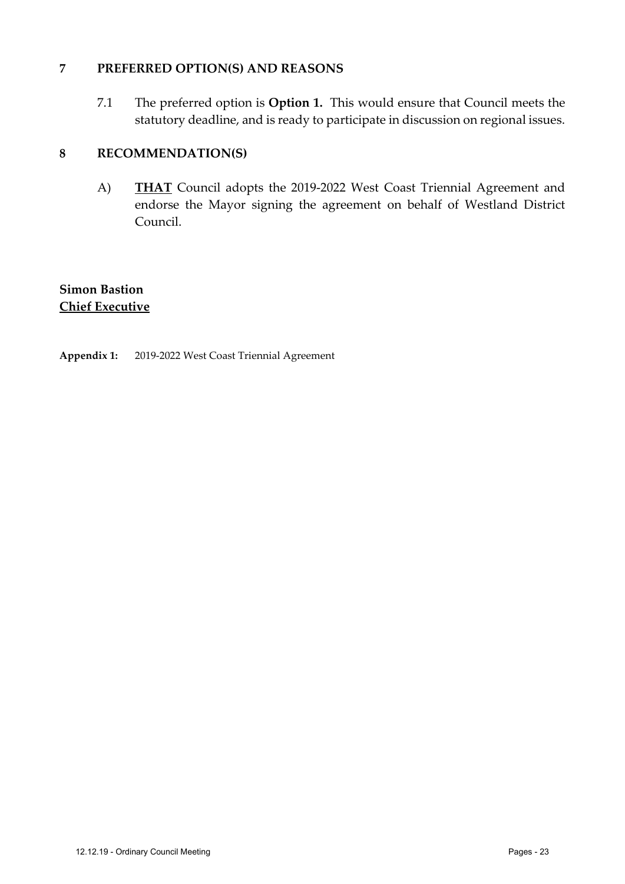#### **7 PREFERRED OPTION(S) AND REASONS**

7.1 The preferred option is **Option 1.** This would ensure that Council meets the statutory deadline, and is ready to participate in discussion on regional issues.

#### **8 RECOMMENDATION(S)**

A) **THAT** Council adopts the 2019-2022 West Coast Triennial Agreement and endorse the Mayor signing the agreement on behalf of Westland District Council.

#### **Simon Bastion Chief Executive**

#### **Appendix 1:** 2019-2022 West Coast Triennial Agreement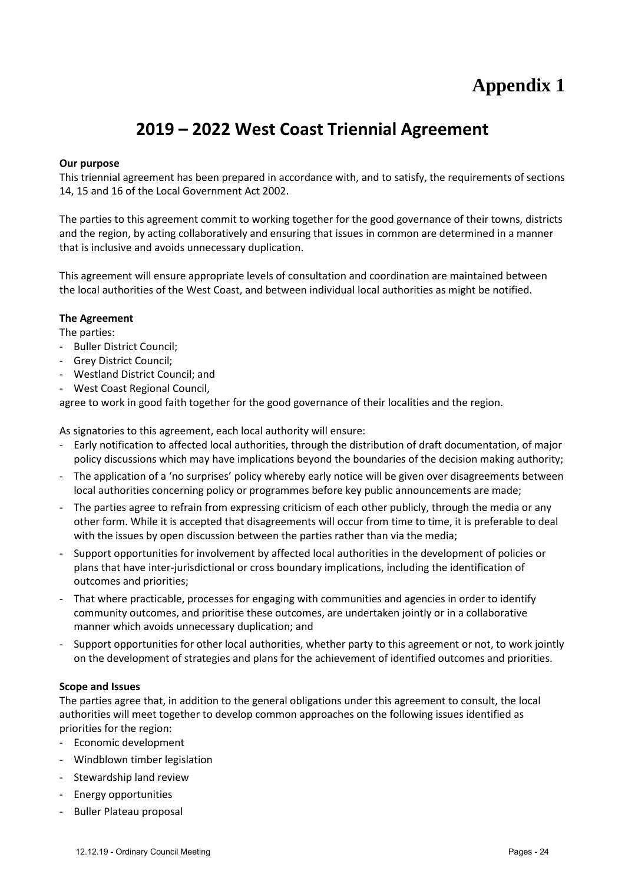# **Appendix 1**

# **2019 – 2022 West Coast Triennial Agreement**

#### **Our purpose**

This triennial agreement has been prepared in accordance with, and to satisfy, the requirements of sections 14, 15 and 16 of the Local Government Act 2002.

The parties to this agreement commit to working together for the good governance of their towns, districts and the region, by acting collaboratively and ensuring that issues in common are determined in a manner that is inclusive and avoids unnecessary duplication.

This agreement will ensure appropriate levels of consultation and coordination are maintained between the local authorities of the West Coast, and between individual local authorities as might be notified.

#### **The Agreement**

The parties:

- Buller District Council;
- Grey District Council;
- Westland District Council; and
- West Coast Regional Council,

agree to work in good faith together for the good governance of their localities and the region.

As signatories to this agreement, each local authority will ensure:

- Early notification to affected local authorities, through the distribution of draft documentation, of major policy discussions which may have implications beyond the boundaries of the decision making authority;
- The application of a 'no surprises' policy whereby early notice will be given over disagreements between local authorities concerning policy or programmes before key public announcements are made;
- The parties agree to refrain from expressing criticism of each other publicly, through the media or any other form. While it is accepted that disagreements will occur from time to time, it is preferable to deal with the issues by open discussion between the parties rather than via the media;
- Support opportunities for involvement by affected local authorities in the development of policies or plans that have inter-jurisdictional or cross boundary implications, including the identification of outcomes and priorities;
- That where practicable, processes for engaging with communities and agencies in order to identify community outcomes, and prioritise these outcomes, are undertaken jointly or in a collaborative manner which avoids unnecessary duplication; and
- Support opportunities for other local authorities, whether party to this agreement or not, to work jointly on the development of strategies and plans for the achievement of identified outcomes and priorities.

#### **Scope and Issues**

The parties agree that, in addition to the general obligations under this agreement to consult, the local authorities will meet together to develop common approaches on the following issues identified as priorities for the region:

- Economic development
- Windblown timber legislation
- Stewardship land review
- Energy opportunities
- Buller Plateau proposal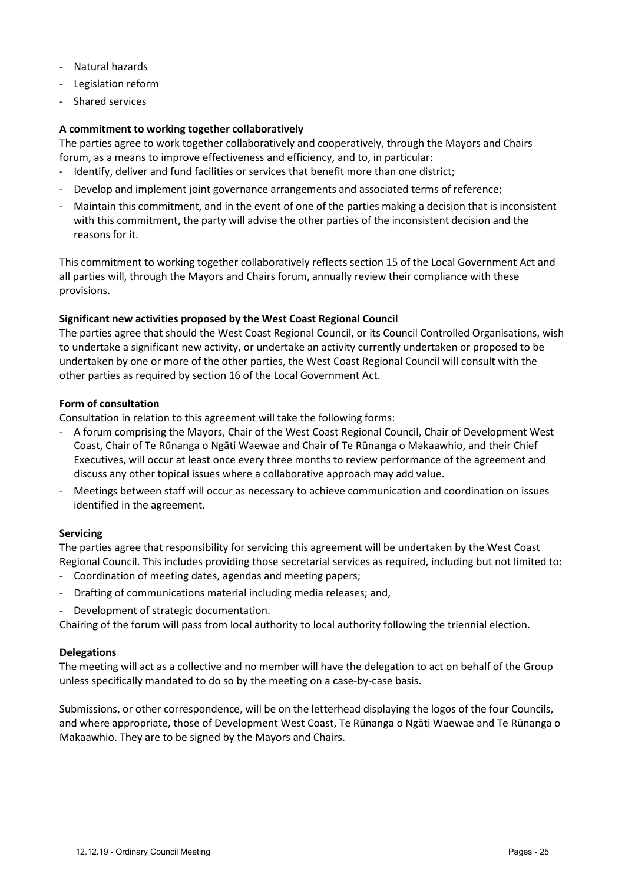- Natural hazards
- Legislation reform
- Shared services

#### **A commitment to working together collaboratively**

The parties agree to work together collaboratively and cooperatively, through the Mayors and Chairs forum, as a means to improve effectiveness and efficiency, and to, in particular:

- Identify, deliver and fund facilities or services that benefit more than one district;
- Develop and implement joint governance arrangements and associated terms of reference;
- Maintain this commitment, and in the event of one of the parties making a decision that is inconsistent with this commitment, the party will advise the other parties of the inconsistent decision and the reasons for it.

This commitment to working together collaboratively reflects section 15 of the Local Government Act and all parties will, through the Mayors and Chairs forum, annually review their compliance with these provisions.

#### **Significant new activities proposed by the West Coast Regional Council**

The parties agree that should the West Coast Regional Council, or its Council Controlled Organisations, wish to undertake a significant new activity, or undertake an activity currently undertaken or proposed to be undertaken by one or more of the other parties, the West Coast Regional Council will consult with the other parties as required by section 16 of the Local Government Act.

#### **Form of consultation**

Consultation in relation to this agreement will take the following forms:

- A forum comprising the Mayors, Chair of the West Coast Regional Council, Chair of Development West Coast, Chair of Te Rūnanga o Ngāti Waewae and Chair of Te Rūnanga o Makaawhio, and their Chief Executives, will occur at least once every three months to review performance of the agreement and discuss any other topical issues where a collaborative approach may add value.
- Meetings between staff will occur as necessary to achieve communication and coordination on issues identified in the agreement.

#### **Servicing**

The parties agree that responsibility for servicing this agreement will be undertaken by the West Coast Regional Council. This includes providing those secretarial services as required, including but not limited to:

- Coordination of meeting dates, agendas and meeting papers;
- Drafting of communications material including media releases; and,
- Development of strategic documentation.

Chairing of the forum will pass from local authority to local authority following the triennial election.

#### **Delegations**

The meeting will act as a collective and no member will have the delegation to act on behalf of the Group unless specifically mandated to do so by the meeting on a case-by-case basis.

Submissions, or other correspondence, will be on the letterhead displaying the logos of the four Councils, and where appropriate, those of Development West Coast, Te Rūnanga o Ngāti Waewae and Te Rūnanga o Makaawhio. They are to be signed by the Mayors and Chairs.